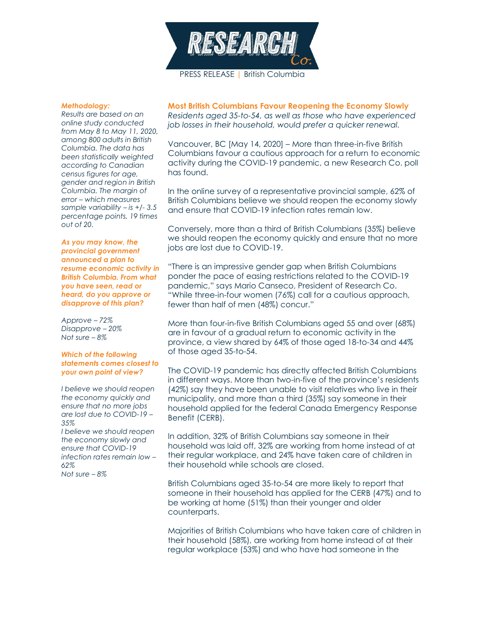

## *Methodology:*

*Results are based on an online study conducted from May 8 to May 11, 2020, among 800 adults in British Columbia. The data has been statistically weighted according to Canadian census figures for age, gender and region in British Columbia. The margin of error – which measures sample variability – is +/- 3.5 percentage points, 19 times out of 20.*

*As you may know, the provincial government announced a plan to resume economic activity in British Columbia. From what you have seen, read or heard, do you approve or disapprove of this plan?*

*Approve – 72% Disapprove – 20% Not sure – 8%*

## *Which of the following statements comes closest to your own point of view?*

*I believe we should reopen the economy quickly and ensure that no more jobs are lost due to COVID-19 – 35% I believe we should reopen the economy slowly and* 

*ensure that COVID-19 infection rates remain low – 62% Not sure – 8%*

**Most British Columbians Favour Reopening the Economy Slowly** *Residents aged 35-to-54, as well as those who have experienced job losses in their household, would prefer a quicker renewal.*

Vancouver, BC [May 14, 2020] – More than three-in-five British Columbians favour a cautious approach for a return to economic activity during the COVID-19 pandemic, a new Research Co. poll has found.

In the online survey of a representative provincial sample, 62% of British Columbians believe we should reopen the economy slowly and ensure that COVID-19 infection rates remain low.

Conversely, more than a third of British Columbians (35%) believe we should reopen the economy quickly and ensure that no more jobs are lost due to COVID-19.

"There is an impressive gender gap when British Columbians ponder the pace of easing restrictions related to the COVID-19 pandemic," says Mario Canseco, President of Research Co. "While three-in-four women (76%) call for a cautious approach, fewer than half of men (48%) concur."

More than four-in-five British Columbians aged 55 and over (68%) are in favour of a gradual return to economic activity in the province, a view shared by 64% of those aged 18-to-34 and 44% of those aged 35-to-54.

The COVID-19 pandemic has directly affected British Columbians in different ways. More than two-in-five of the province's residents (42%) say they have been unable to visit relatives who live in their municipality, and more than a third (35%) say someone in their household applied for the federal Canada Emergency Response Benefit (CERB).

In addition, 32% of British Columbians say someone in their household was laid off, 32% are working from home instead of at their regular workplace, and 24% have taken care of children in their household while schools are closed.

British Columbians aged 35-to-54 are more likely to report that someone in their household has applied for the CERB (47%) and to be working at home (51%) than their younger and older counterparts.

Majorities of British Columbians who have taken care of children in their household (58%), are working from home instead of at their regular workplace (53%) and who have had someone in the